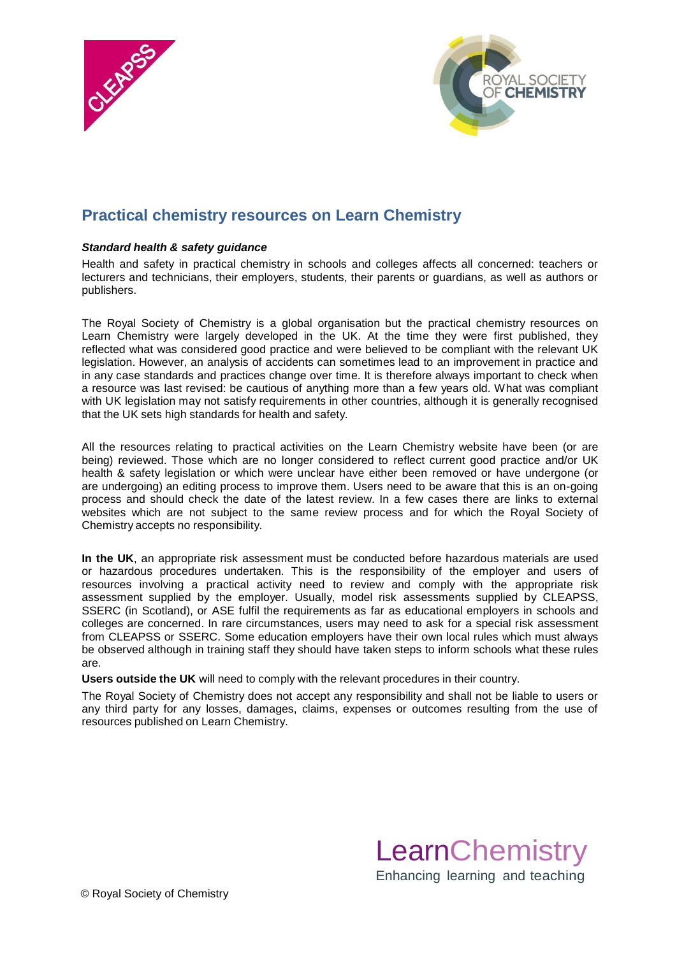



# **Practical chemistry resources on Learn Chemistry**

#### *Standard health & safety guidance*

Health and safety in practical chemistry in schools and colleges affects all concerned: teachers or lecturers and technicians, their employers, students, their parents or guardians, as well as authors or publishers.

The Royal Society of Chemistry is a global organisation but the practical chemistry resources on Learn Chemistry were largely developed in the UK. At the time they were first published, they reflected what was considered good practice and were believed to be compliant with the relevant UK legislation. However, an analysis of accidents can sometimes lead to an improvement in practice and in any case standards and practices change over time. It is therefore always important to check when a resource was last revised: be cautious of anything more than a few years old. What was compliant with UK legislation may not satisfy requirements in other countries, although it is generally recognised that the UK sets high standards for health and safety.

All the resources relating to practical activities on the Learn Chemistry website have been (or are being) reviewed. Those which are no longer considered to reflect current good practice and/or UK health & safety legislation or which were unclear have either been removed or have undergone (or are undergoing) an editing process to improve them. Users need to be aware that this is an on-going process and should check the date of the latest review. In a few cases there are links to external websites which are not subject to the same review process and for which the Royal Society of Chemistry accepts no responsibility.

**In the UK**, an appropriate risk assessment must be conducted before hazardous materials are used or hazardous procedures undertaken. This is the responsibility of the employer and users of resources involving a practical activity need to review and comply with the appropriate risk assessment supplied by the employer. Usually, model risk assessments supplied by CLEAPSS, SSERC (in Scotland), or ASE fulfil the requirements as far as educational employers in schools and colleges are concerned. In rare circumstances, users may need to ask for a special risk assessment from CLEAPSS or SSERC. Some education employers have their own local rules which must always be observed although in training staff they should have taken steps to inform schools what these rules are.

**Users outside the UK** will need to comply with the relevant procedures in their country.

The Royal Society of Chemistry does not accept any responsibility and shall not be liable to users or any third party for any losses, damages, claims, expenses or outcomes resulting from the use of resources published on Learn Chemistry.

> **LearnChemistry** Enhancing learning and teaching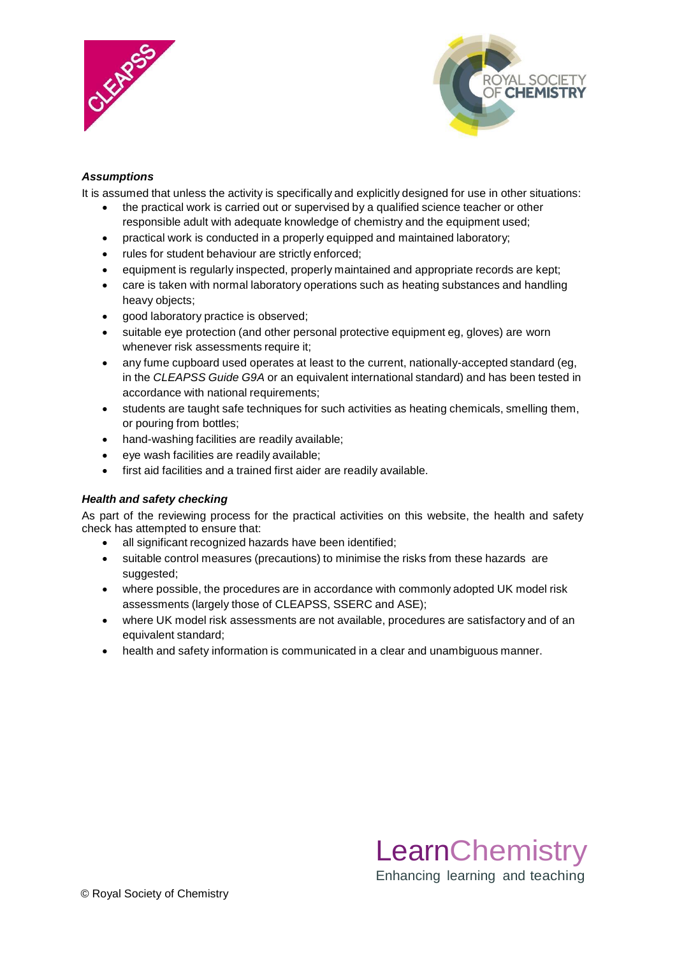



## *Assumptions*

It is assumed that unless the activity is specifically and explicitly designed for use in other situations:

- the practical work is carried out or supervised by a qualified science teacher or other responsible adult with adequate knowledge of chemistry and the equipment used;
- practical work is conducted in a properly equipped and maintained laboratory;
- rules for student behaviour are strictly enforced;
- equipment is regularly inspected, properly maintained and appropriate records are kept;
- care is taken with normal laboratory operations such as heating substances and handling heavy objects;
- good laboratory practice is observed;
- suitable eye protection (and other personal protective equipment eg, gloves) are worn whenever risk assessments require it;
- any fume cupboard used operates at least to the current, nationally-accepted standard (eg, in the *CLEAPSS Guide G9A* or an equivalent international standard) and has been tested in accordance with national requirements;
- students are taught safe techniques for such activities as heating chemicals, smelling them, or pouring from bottles;
- hand-washing facilities are readily available;
- eye wash facilities are readily available;
- first aid facilities and a trained first aider are readily available.

### *Health and safety checking*

As part of the reviewing process for the practical activities on this website, the health and safety check has attempted to ensure that:

- all significant recognized hazards have been identified;
- suitable control measures (precautions) to minimise the risks from these hazards are suggested;
- where possible, the procedures are in accordance with commonly adopted UK model risk assessments (largely those of CLEAPSS, SSERC and ASE);
- where UK model risk assessments are not available, procedures are satisfactory and of an equivalent standard;
- health and safety information is communicated in a clear and unambiguous manner.